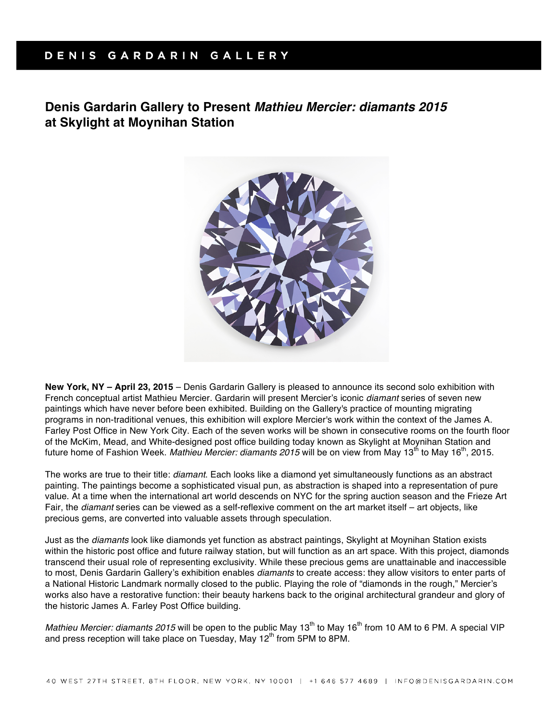## DENIS GARDARIN GALLERY

# **Denis Gardarin Gallery to Present** *Mathieu Mercier: diamants 2015*  **at Skylight at Moynihan Station**



**New York, NY – April 23, 2015** – Denis Gardarin Gallery is pleased to announce its second solo exhibition with French conceptual artist Mathieu Mercier. Gardarin will present Mercier's iconic *diamant* series of seven new paintings which have never before been exhibited. Building on the Gallery's practice of mounting migrating programs in non-traditional venues, this exhibition will explore Mercier's work within the context of the James A. Farley Post Office in New York City. Each of the seven works will be shown in consecutive rooms on the fourth floor of the McKim, Mead, and White-designed post office building today known as Skylight at Moynihan Station and future home of Fashion Week. Mathieu Mercier: diamants 2015 will be on view from May 13<sup>th</sup> to May 16<sup>th</sup>, 2015.

The works are true to their title: *diamant*. Each looks like a diamond yet simultaneously functions as an abstract painting. The paintings become a sophisticated visual pun, as abstraction is shaped into a representation of pure value. At a time when the international art world descends on NYC for the spring auction season and the Frieze Art Fair, the *diamant* series can be viewed as a self-reflexive comment on the art market itself – art objects, like precious gems, are converted into valuable assets through speculation.

Just as the *diamants* look like diamonds yet function as abstract paintings, Skylight at Moynihan Station exists within the historic post office and future railway station, but will function as an art space. With this project, diamonds transcend their usual role of representing exclusivity. While these precious gems are unattainable and inaccessible to most, Denis Gardarin Gallery's exhibition enables *diamants* to create access: they allow visitors to enter parts of a National Historic Landmark normally closed to the public. Playing the role of "diamonds in the rough," Mercier's works also have a restorative function: their beauty harkens back to the original architectural grandeur and glory of the historic James A. Farley Post Office building.

*Mathieu Mercier: diamants 2015* will be open to the public May 13<sup>th</sup> to May 16<sup>th</sup> from 10 AM to 6 PM. A special VIP and press reception will take place on Tuesday, May  $12<sup>th</sup>$  from 5PM to 8PM.